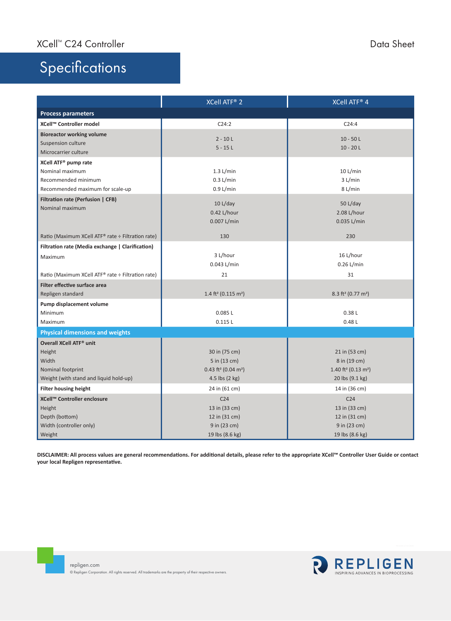## Specifications

|                                                   | <b>XCell ATF® 2</b>                           | <b>XCell ATF® 4</b>                          |  |  |
|---------------------------------------------------|-----------------------------------------------|----------------------------------------------|--|--|
| <b>Process parameters</b>                         |                                               |                                              |  |  |
| XCell™ Controller model                           | C24:2                                         | C24:4                                        |  |  |
| <b>Bioreactor working volume</b>                  | $2 - 10 L$                                    |                                              |  |  |
| Suspension culture                                | $5 - 15L$                                     | $10 - 50$ L<br>$10 - 20 L$                   |  |  |
| Microcarrier culture                              |                                               |                                              |  |  |
| XCell ATF <sup>®</sup> pump rate                  |                                               |                                              |  |  |
| Nominal maximum                                   | $1.3$ L/min                                   | $10$ L/min                                   |  |  |
| Recommended minimum                               | $0.3$ L/min                                   | 3 L/min                                      |  |  |
| Recommended maximum for scale-up                  | 0.9 L/min                                     | 8 L/min                                      |  |  |
| Filtration rate (Perfusion   CFB)                 |                                               |                                              |  |  |
| Nominal maximum                                   | 10 L/day                                      | 50 L/day                                     |  |  |
|                                                   | 0.42 L/hour                                   | 2.08 L/hour                                  |  |  |
|                                                   | 0.007 L/min                                   | 0.035 L/min                                  |  |  |
| Ratio (Maximum XCell ATF® rate ÷ Filtration rate) | 130                                           | 230                                          |  |  |
| Filtration rate (Media exchange   Clarification)  |                                               |                                              |  |  |
| Maximum                                           | 3 L/hour                                      | 16 L/hour                                    |  |  |
|                                                   | 0.043 L/min                                   | 0.26 L/min                                   |  |  |
| Ratio (Maximum XCell ATF® rate ÷ Filtration rate) | 21                                            | 31                                           |  |  |
| Filter effective surface area                     |                                               |                                              |  |  |
| Repligen standard                                 | 1.4 ft <sup>2</sup> (0.115 m <sup>2</sup> )   | $8.3$ ft <sup>2</sup> (0.77 m <sup>2</sup> ) |  |  |
| Pump displacement volume                          |                                               |                                              |  |  |
| Minimum                                           | 0.085L                                        | 0.38L                                        |  |  |
| Maximum                                           | 0.115L                                        | 0.48L                                        |  |  |
| <b>Physical dimensions and weights</b>            |                                               |                                              |  |  |
| Overall XCell ATF <sup>®</sup> unit               |                                               |                                              |  |  |
| Height                                            | 30 in (75 cm)                                 | 21 in (53 cm)                                |  |  |
| Width                                             | 5 in (13 cm)                                  | 8 in (19 cm)                                 |  |  |
| Nominal footprint                                 | $0.43$ ft <sup>2</sup> (0.04 m <sup>2</sup> ) | 1.40 ft <sup>2</sup> (0.13 m <sup>2</sup> )  |  |  |
| Weight (with stand and liquid hold-up)            | 4.5 lbs $(2 \text{ kg})$                      | 20 lbs (9.1 kg)                              |  |  |
| <b>Filter housing height</b>                      | 24 in (61 cm)                                 | 14 in (36 cm)                                |  |  |
| XCell™ Controller enclosure                       | C <sub>24</sub>                               | C <sub>24</sub>                              |  |  |
| Height                                            | 13 in (33 cm)                                 | 13 in (33 cm)                                |  |  |
| Depth (bottom)                                    | 12 in (31 cm)                                 | 12 in (31 cm)                                |  |  |
| Width (controller only)                           | 9 in (23 cm)                                  | 9 in (23 cm)                                 |  |  |
| Weight                                            | 19 lbs (8.6 kg)                               | 19 lbs (8.6 kg)                              |  |  |

**DISCLAIMER: All process values are general recommendations. For additional details, please refer to the appropriate XCell™ Controller User Guide or contact your local Repligen representative.**